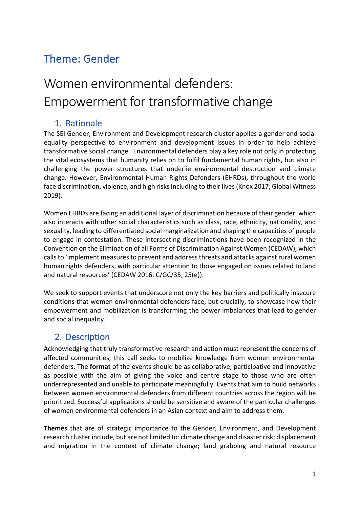## Theme: Gender

# Women environmental defenders: Empowerment for transformative change

#### 1. Rationale

The SEI Gender, Environment and Development research cluster applies a gender and social equality perspective to environment and development issues in order to help achieve transformative social change. Environmental defenders play a key role not only in protecting the vital ecosystems that humanity relies on to fulfil fundamental human rights, but also in challenging the power structures that underlie environmental destruction and climate change. However, Environmental Human Rights Defenders (EHRDs), throughout the world face discrimination, violence, and high risks including to their lives (Knox 2017; Global Witness 2019).

Women EHRDs are facing an additional layer of discrimination because of their gender, which also interacts with other social characteristics such as class, race, ethnicity, nationality, and sexuality, leading to differentiated social marginalization and shaping the capacities of people to engage in contestation. These intersecting discriminations have been recognized in the Convention on the Elimination of all Forms of Discrimination Against Women (CEDAW), which calls to 'implement measures to prevent and address threats and attacks against rural women human rights defenders, with particular attention to those engaged on issues related to land and natural resources' (CEDAW 2016, C/GC/35, 25(e)).

We seek to support events that underscore not only the key barriers and politically insecure conditions that women environmental defenders face, but crucially, to showcase how their empowerment and mobilization is transforming the power imbalances that lead to gender and social inequality.

### 2. Description

Acknowledging that truly transformative research and action must represent the concerns of affected communities, this call seeks to mobilize knowledge from women environmental defenders. The **format** of the events should be as collaborative, participative and innovative as possible with the aim of giving the voice and centre stage to those who are often underrepresented and unable to participate meaningfully. Events that aim to build networks between women environmental defenders from different countries across the region will be prioritized. Successful applications should be sensitive and aware of the particular challenges of women environmental defenders in an Asian context and aim to address them.

**Themes** that are of strategic importance to the Gender, Environment, and Development research cluster include, but are not limited to: climate change and disaster risk; displacement and migration in the context of climate change; land grabbing and natural resource